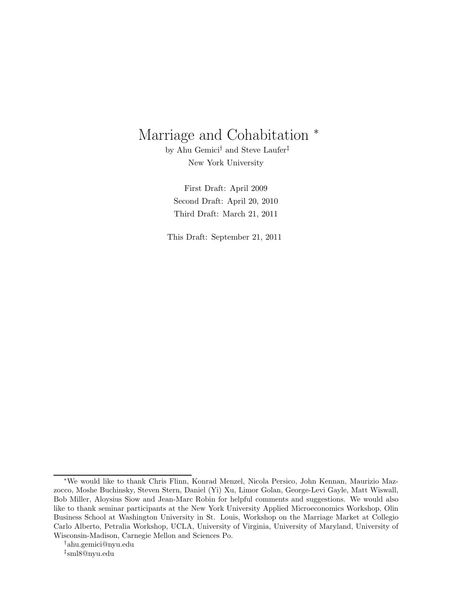# Marriage and Cohabitation  $*$

by Ahu Gemici<sup>†</sup> and Steve Laufer<sup>‡</sup> New York University

First Draft: April 2009 Second Draft: April 20, 2010 Third Draft: March 21, 2011

This Draft: September 21, 2011

<sup>∗</sup>We would like to thank Chris Flinn, Konrad Menzel, Nicola Persico, John Kennan, Maurizio Mazzocco, Moshe Buchinsky, Steven Stern, Daniel (Yi) Xu, Limor Golan, George-Levi Gayle, Matt Wiswall, Bob Miller, Aloysius Siow and Jean-Marc Robin for helpful comments and suggestions. We would also like to thank seminar participants at the New York University Applied Microeconomics Workshop, Olin Business School at Washington University in St. Louis, Workshop on the Marriage Market at Collegio Carlo Alberto, Petralia Workshop, UCLA, University of Virginia, University of Maryland, University of Wisconsin-Madison, Carnegie Mellon and Sciences Po.

<sup>†</sup>ahu.gemici@nyu.edu

<sup>‡</sup> sml8@nyu.edu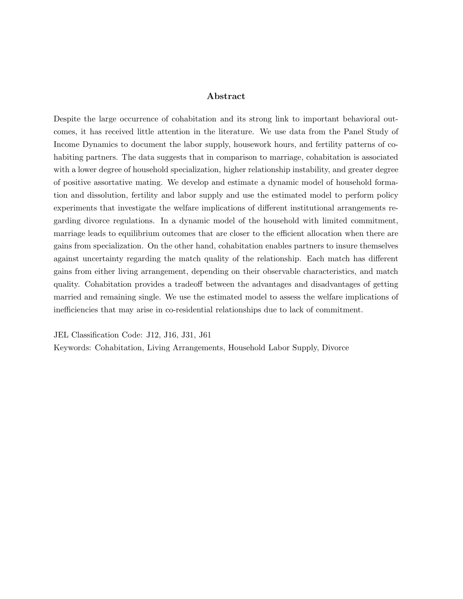#### Abstract

Despite the large occurrence of cohabitation and its strong link to important behavioral outcomes, it has received little attention in the literature. We use data from the Panel Study of Income Dynamics to document the labor supply, housework hours, and fertility patterns of cohabiting partners. The data suggests that in comparison to marriage, cohabitation is associated with a lower degree of household specialization, higher relationship instability, and greater degree of positive assortative mating. We develop and estimate a dynamic model of household formation and dissolution, fertility and labor supply and use the estimated model to perform policy experiments that investigate the welfare implications of different institutional arrangements regarding divorce regulations. In a dynamic model of the household with limited commitment, marriage leads to equilibrium outcomes that are closer to the efficient allocation when there are gains from specialization. On the other hand, cohabitation enables partners to insure themselves against uncertainty regarding the match quality of the relationship. Each match has different gains from either living arrangement, depending on their observable characteristics, and match quality. Cohabitation provides a tradeoff between the advantages and disadvantages of getting married and remaining single. We use the estimated model to assess the welfare implications of inefficiencies that may arise in co-residential relationships due to lack of commitment.

JEL Classification Code: J12, J16, J31, J61 Keywords: Cohabitation, Living Arrangements, Household Labor Supply, Divorce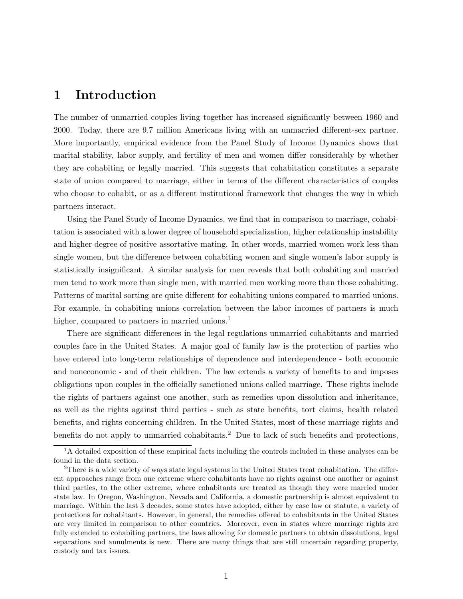### 1 Introduction

The number of unmarried couples living together has increased significantly between 1960 and 2000. Today, there are 9.7 million Americans living with an unmarried different-sex partner. More importantly, empirical evidence from the Panel Study of Income Dynamics shows that marital stability, labor supply, and fertility of men and women differ considerably by whether they are cohabiting or legally married. This suggests that cohabitation constitutes a separate state of union compared to marriage, either in terms of the different characteristics of couples who choose to cohabit, or as a different institutional framework that changes the way in which partners interact.

Using the Panel Study of Income Dynamics, we find that in comparison to marriage, cohabitation is associated with a lower degree of household specialization, higher relationship instability and higher degree of positive assortative mating. In other words, married women work less than single women, but the difference between cohabiting women and single women's labor supply is statistically insignificant. A similar analysis for men reveals that both cohabiting and married men tend to work more than single men, with married men working more than those cohabiting. Patterns of marital sorting are quite different for cohabiting unions compared to married unions. For example, in cohabiting unions correlation between the labor incomes of partners is much higher, compared to partners in married unions.<sup>1</sup>

There are significant differences in the legal regulations unmarried cohabitants and married couples face in the United States. A major goal of family law is the protection of parties who have entered into long-term relationships of dependence and interdependence - both economic and noneconomic - and of their children. The law extends a variety of benefits to and imposes obligations upon couples in the officially sanctioned unions called marriage. These rights include the rights of partners against one another, such as remedies upon dissolution and inheritance, as well as the rights against third parties - such as state benefits, tort claims, health related benefits, and rights concerning children. In the United States, most of these marriage rights and benefits do not apply to unmarried cohabitants.<sup>2</sup> Due to lack of such benefits and protections,

 $1<sup>1</sup>A$  detailed exposition of these empirical facts including the controls included in these analyses can be found in the data section.

<sup>2</sup>There is a wide variety of ways state legal systems in the United States treat cohabitation. The different approaches range from one extreme where cohabitants have no rights against one another or against third parties, to the other extreme, where cohabitants are treated as though they were married under state law. In Oregon, Washington, Nevada and California, a domestic partnership is almost equivalent to marriage. Within the last 3 decades, some states have adopted, either by case law or statute, a variety of protections for cohabitants. However, in general, the remedies offered to cohabitants in the United States are very limited in comparison to other countries. Moreover, even in states where marriage rights are fully extended to cohabiting partners, the laws allowing for domestic partners to obtain dissolutions, legal separations and annulments is new. There are many things that are still uncertain regarding property, custody and tax issues.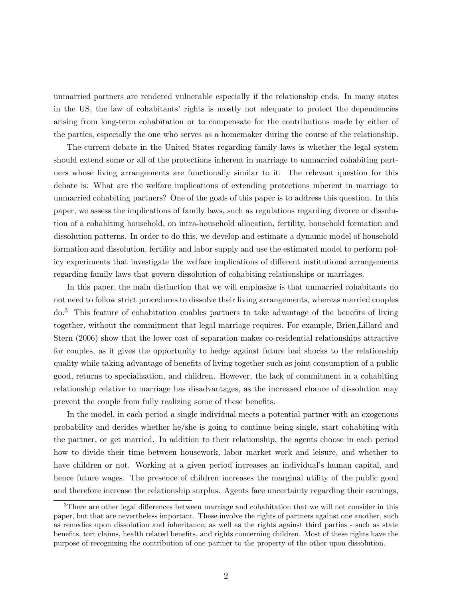unmarried partners are rendered vulnerable especially if the relationship ends. In many states in the US, the law of cohabitants' rights is mostly not adequate to protect the dependencies arising from long-term cohabitation or to compensate for the contributions made by either of the parties, especially the one who serves as a homemaker during the course of the relationship.

The current debate in the United States regarding family laws is whether the legal system should extend some or all of the protections inherent in marriage to unmarried cohabiting partners whose living arrangements are functionally similar to it. The relevant question for this debate is: What are the welfare implications of extending protections inherent in marriage to unmarried cohabiting partners? One of the goals of this paper is to address this question. In this paper, we assess the implications of family laws, such as regulations regarding divorce or dissolution of a cohabiting household, on intra-household allocation, fertility, household formation and dissolution patterns. In order to do this, we develop and estimate a dynamic model of household formation and dissolution, fertility and labor supply and use the estimated model to perform policy experiments that investigate the welfare implications of different institutional arrangements regarding family laws that govern dissolution of cohabiting relationships or marriages.

In this paper, the main distinction that we will emphasize is that unmarried cohabitants do not need to follow strict procedures to dissolve their living arrangements, whereas married couples  $do.<sup>3</sup>$  This feature of cohabitation enables partners to take advantage of the benefits of living together, without the commitment that legal marriage requires. For example, Brien,Lillard and Stern (2006) show that the lower cost of separation makes co-residential relationships attractive for couples, as it gives the opportunity to hedge against future bad shocks to the relationship quality while taking advantage of benefits of living together such as joint consumption of a public good, returns to specialization, and children. However, the lack of commitment in a cohabiting relationship relative to marriage has disadvantages, as the increased chance of dissolution may prevent the couple from fully realizing some of these benefits.

In the model, in each period a single individual meets a potential partner with an exogenous probability and decides whether he/she is going to continue being single, start cohabiting with the partner, or get married. In addition to their relationship, the agents choose in each period how to divide their time between housework, labor market work and leisure, and whether to have children or not. Working at a given period increases an individual's human capital, and hence future wages. The presence of children increases the marginal utility of the public good and therefore increase the relationship surplus. Agents face uncertainty regarding their earnings,

<sup>&</sup>lt;sup>3</sup>There are other legal differences between marriage and cohabitation that we will not consider in this paper, but that are nevertheless important. These involve the rights of partners against one another, such as remedies upon dissolution and inheritance, as well as the rights against third parties - such as state benefits, tort claims, health related benefits, and rights concerning children. Most of these rights have the purpose of recognizing the contribution of one partner to the property of the other upon dissolution.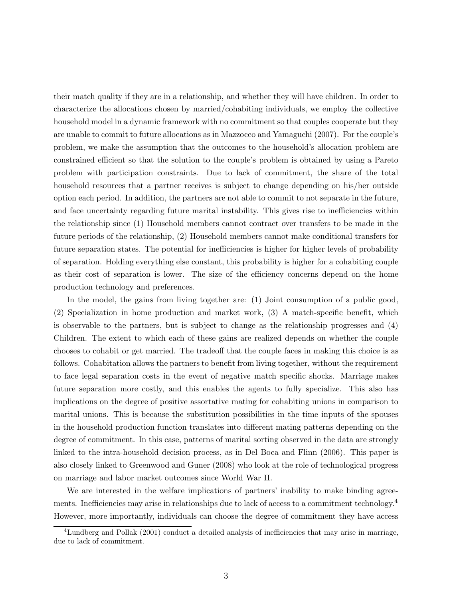their match quality if they are in a relationship, and whether they will have children. In order to characterize the allocations chosen by married/cohabiting individuals, we employ the collective household model in a dynamic framework with no commitment so that couples cooperate but they are unable to commit to future allocations as in Mazzocco and Yamaguchi (2007). For the couple's problem, we make the assumption that the outcomes to the household's allocation problem are constrained efficient so that the solution to the couple's problem is obtained by using a Pareto problem with participation constraints. Due to lack of commitment, the share of the total household resources that a partner receives is subject to change depending on his/her outside option each period. In addition, the partners are not able to commit to not separate in the future, and face uncertainty regarding future marital instability. This gives rise to inefficiencies within the relationship since (1) Household members cannot contract over transfers to be made in the future periods of the relationship, (2) Household members cannot make conditional transfers for future separation states. The potential for inefficiencies is higher for higher levels of probability of separation. Holding everything else constant, this probability is higher for a cohabiting couple as their cost of separation is lower. The size of the efficiency concerns depend on the home production technology and preferences.

In the model, the gains from living together are: (1) Joint consumption of a public good, (2) Specialization in home production and market work, (3) A match-specific benefit, which is observable to the partners, but is subject to change as the relationship progresses and (4) Children. The extent to which each of these gains are realized depends on whether the couple chooses to cohabit or get married. The tradeoff that the couple faces in making this choice is as follows. Cohabitation allows the partners to benefit from living together, without the requirement to face legal separation costs in the event of negative match specific shocks. Marriage makes future separation more costly, and this enables the agents to fully specialize. This also has implications on the degree of positive assortative mating for cohabiting unions in comparison to marital unions. This is because the substitution possibilities in the time inputs of the spouses in the household production function translates into different mating patterns depending on the degree of commitment. In this case, patterns of marital sorting observed in the data are strongly linked to the intra-household decision process, as in Del Boca and Flinn (2006). This paper is also closely linked to Greenwood and Guner (2008) who look at the role of technological progress on marriage and labor market outcomes since World War II.

We are interested in the welfare implications of partners' inability to make binding agreements. Inefficiencies may arise in relationships due to lack of access to a commitment technology.<sup>4</sup> However, more importantly, individuals can choose the degree of commitment they have access

<sup>4</sup>Lundberg and Pollak (2001) conduct a detailed analysis of inefficiencies that may arise in marriage, due to lack of commitment.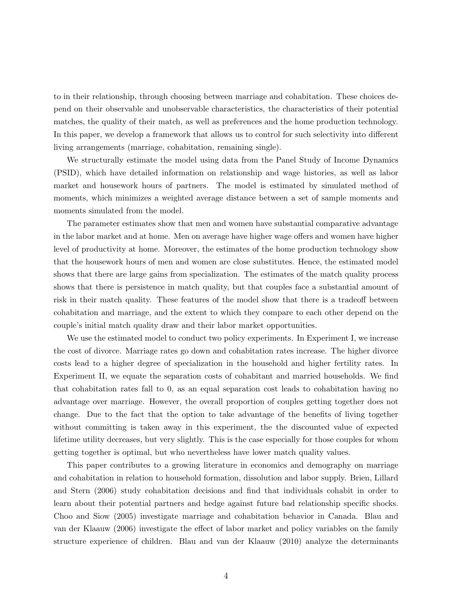to in their relationship, through choosing between marriage and cohabitation. These choices depend on their observable and unobservable characteristics, the characteristics of their potential matches, the quality of their match, as well as preferences and the home production technology. In this paper, we develop a framework that allows us to control for such selectivity into different living arrangements (marriage, cohabitation, remaining single).

We structurally estimate the model using data from the Panel Study of Income Dynamics (PSID), which have detailed information on relationship and wage histories, as well as labor market and housework hours of partners. The model is estimated by simulated method of moments, which minimizes a weighted average distance between a set of sample moments and moments simulated from the model.

The parameter estimates show that men and women have substantial comparative advantage in the labor market and at home. Men on average have higher wage offers and women have higher level of productivity at home. Moreover, the estimates of the home production technology show that the housework hours of men and women are close substitutes. Hence, the estimated model shows that there are large gains from specialization. The estimates of the match quality process shows that there is persistence in match quality, but that couples face a substantial amount of risk in their match quality. These features of the model show that there is a tradeoff between cohabitation and marriage, and the extent to which they compare to each other depend on the couple's initial match quality draw and their labor market opportunities.

We use the estimated model to conduct two policy experiments. In Experiment I, we increase the cost of divorce. Marriage rates go down and cohabitation rates increase. The higher divorce costs lead to a higher degree of specialization in the household and higher fertility rates. In Experiment II, we equate the separation costs of cohabitant and married households. We find that cohabitation rates fall to 0, as an equal separation cost leads to cohabitation having no advantage over marriage. However, the overall proportion of couples getting together does not change. Due to the fact that the option to take advantage of the benefits of living together without committing is taken away in this experiment, the the discounted value of expected lifetime utility decreases, but very slightly. This is the case especially for those couples for whom getting together is optimal, but who nevertheless have lower match quality values.

This paper contributes to a growing literature in economics and demography on marriage and cohabitation in relation to household formation, dissolution and labor supply. Brien, Lillard and Stern (2006) study cohabitation decisions and find that individuals cohabit in order to learn about their potential partners and hedge against future bad relationship specific shocks. Choo and Siow (2005) investigate marriage and cohabitation behavior in Canada. Blau and van der Klaauw (2006) investigate the effect of labor market and policy variables on the family structure experience of children. Blau and van der Klaauw (2010) analyze the determinants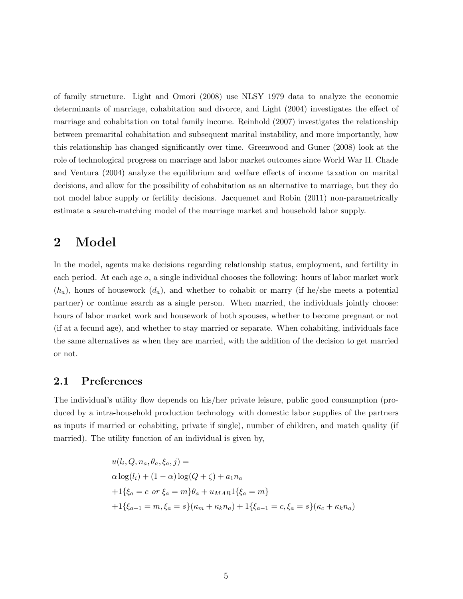of family structure. Light and Omori (2008) use NLSY 1979 data to analyze the economic determinants of marriage, cohabitation and divorce, and Light (2004) investigates the effect of marriage and cohabitation on total family income. Reinhold (2007) investigates the relationship between premarital cohabitation and subsequent marital instability, and more importantly, how this relationship has changed significantly over time. Greenwood and Guner (2008) look at the role of technological progress on marriage and labor market outcomes since World War II. Chade and Ventura (2004) analyze the equilibrium and welfare effects of income taxation on marital decisions, and allow for the possibility of cohabitation as an alternative to marriage, but they do not model labor supply or fertility decisions. Jacquemet and Robin (2011) non-parametrically estimate a search-matching model of the marriage market and household labor supply.

# 2 Model

In the model, agents make decisions regarding relationship status, employment, and fertility in each period. At each age a, a single individual chooses the following: hours of labor market work  $(h_a)$ , hours of housework  $(d_a)$ , and whether to cohabit or marry (if he/she meets a potential partner) or continue search as a single person. When married, the individuals jointly choose: hours of labor market work and housework of both spouses, whether to become pregnant or not (if at a fecund age), and whether to stay married or separate. When cohabiting, individuals face the same alternatives as when they are married, with the addition of the decision to get married or not.

#### 2.1 Preferences

The individual's utility flow depends on his/her private leisure, public good consumption (produced by a intra-household production technology with domestic labor supplies of the partners as inputs if married or cohabiting, private if single), number of children, and match quality (if married). The utility function of an individual is given by,

$$
u(l_i, Q, n_a, \theta_a, \xi_a, j) =
$$
  
\n
$$
\alpha \log(l_i) + (1 - \alpha) \log(Q + \zeta) + a_1 n_a
$$
  
\n
$$
+ 1\{\xi_a = c \text{ or } \xi_a = m\}\theta_a + u_{MAR}1\{\xi_a = m\}
$$
  
\n
$$
+ 1\{\xi_{a-1} = m, \xi_a = s\}(\kappa_m + \kappa_k n_a) + 1\{\xi_{a-1} = c, \xi_a = s\}(\kappa_c + \kappa_k n_a)
$$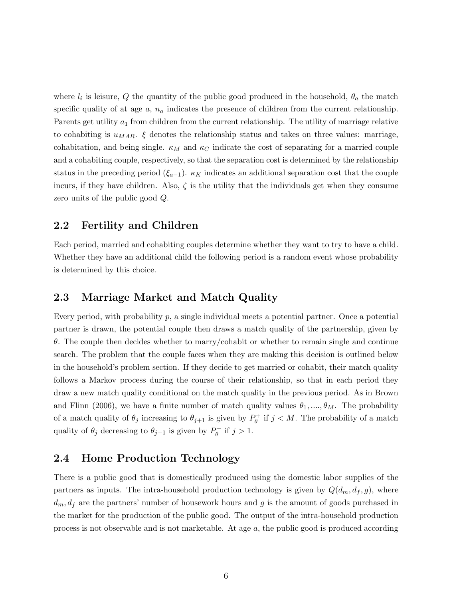where  $l_i$  is leisure, Q the quantity of the public good produced in the household,  $\theta_a$  the match specific quality of at age  $a, n_a$  indicates the presence of children from the current relationship. Parents get utility  $a_1$  from children from the current relationship. The utility of marriage relative to cohabiting is  $u_{MAR}$ .  $\xi$  denotes the relationship status and takes on three values: marriage, cohabitation, and being single.  $\kappa_M$  and  $\kappa_C$  indicate the cost of separating for a married couple and a cohabiting couple, respectively, so that the separation cost is determined by the relationship status in the preceding period  $(\xi_{a-1})$ .  $\kappa_K$  indicates an additional separation cost that the couple incurs, if they have children. Also,  $\zeta$  is the utility that the individuals get when they consume zero units of the public good Q.

#### 2.2 Fertility and Children

Each period, married and cohabiting couples determine whether they want to try to have a child. Whether they have an additional child the following period is a random event whose probability is determined by this choice.

#### 2.3 Marriage Market and Match Quality

Every period, with probability  $p$ , a single individual meets a potential partner. Once a potential partner is drawn, the potential couple then draws a match quality of the partnership, given by  $\theta$ . The couple then decides whether to marry/cohabit or whether to remain single and continue search. The problem that the couple faces when they are making this decision is outlined below in the household's problem section. If they decide to get married or cohabit, their match quality follows a Markov process during the course of their relationship, so that in each period they draw a new match quality conditional on the match quality in the previous period. As in Brown and Flinn (2006), we have a finite number of match quality values  $\theta_1, \dots, \theta_M$ . The probability of a match quality of  $\theta_j$  increasing to  $\theta_{j+1}$  is given by  $P_{\theta}^+$  $\theta_{\theta}^{+}$  if  $j < M$ . The probability of a match quality of  $\theta_j$  decreasing to  $\theta_{j-1}$  is given by  $P_{\theta}^ \int_{\theta}^{\infty}$  if  $j > 1$ .

### 2.4 Home Production Technology

There is a public good that is domestically produced using the domestic labor supplies of the partners as inputs. The intra-household production technology is given by  $Q(d_m, d_f, g)$ , where  $d_m, d_f$  are the partners' number of housework hours and g is the amount of goods purchased in the market for the production of the public good. The output of the intra-household production process is not observable and is not marketable. At age a, the public good is produced according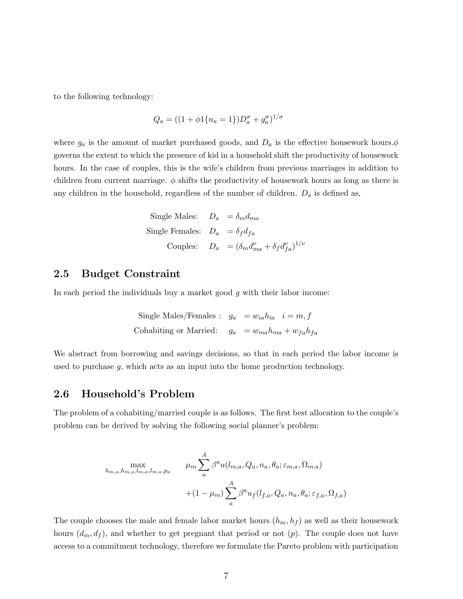to the following technology:

$$
Q_a = ((1 + \phi 1\{n_a = 1\})D_a^{\sigma} + g_a^{\sigma})^{1/\sigma}
$$

where  $g_a$  is the amount of market purchased goods, and  $D_a$  is the effective housework hours. $\phi$ governs the extent to which the presence of kid in a household shift the productivity of housework hours. In the case of couples, this is the wife's children from previous marriages in addition to children from current marriage.  $\phi$  shifts the productivity of housework hours as long as there is any children in the household, regardless of the number of children.  $D_a$  is defined as,

Single Males: 
$$
D_a = \delta_m d_{ma}
$$
  
Single Females:  $D_a = \delta_f d_{fa}$   
Couples:  $D_a = (\delta_m d_{ma}^{\nu} + \delta_f d_{fa}^{\nu})^{1/\nu}$ 

#### 2.5 Budget Constraint

In each period the individuals buy a market good  $g$  with their labor income:

Single Males/Females : 
$$
g_a = w_{ia}h_{ia}
$$
  $i = m, f$   
Cohabiting or Married:  $g_a = w_{ma}h_{ma} + w_{fa}h_{fa}$ 

We abstract from borrowing and savings decisions, so that in each period the labor income is used to purchase  $g$ , which acts as an input into the home production technology.

#### 2.6 Household's Problem

The problem of a cohabiting/married couple is as follows. The first best allocation to the couple's problem can be derived by solving the following social planner's problem:

$$
\max_{h_{m,a},h_{m,a},l_{m,a},l_{m,a},p_a} \qquad \mu_m \sum_a^A \beta^a u(l_{m,a},Q_a,n_a,\theta_a;\varepsilon_{m,a},\Omega_{m,a})
$$

$$
+(1-\mu_m) \sum_a^A \beta^a u_f(l_{f,a},Q_a,n_a,\theta_a;\varepsilon_{f,a},\Omega_{f,a})
$$

The couple chooses the male and female labor market hours  $(h_m, h_f)$  as well as their housework hours  $(d_m, d_f)$ , and whether to get pregnant that period or not  $(p)$ . The couple does not have access to a commitment technology, therefore we formulate the Pareto problem with participation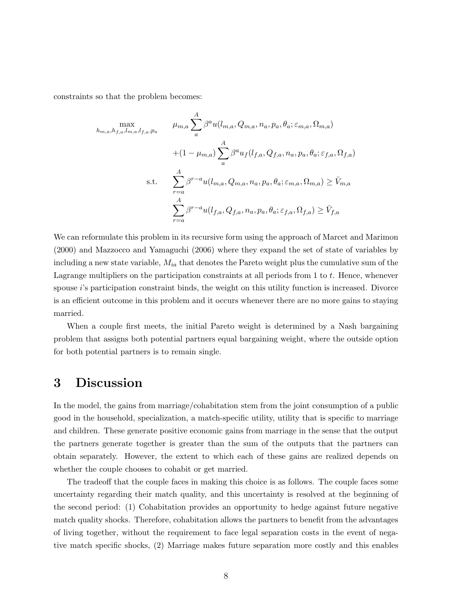constraints so that the problem becomes:

$$
\max_{h_{m,a}, h_{f,a}, l_{m,a}, l_{f,a}, p_a} \qquad \mu_{m,a} \sum_{a}^{A} \beta^a u(l_{m,a}, Q_{m,a}, n_a, p_a, \theta_a; \varepsilon_{m,a}, \Omega_{m,a})
$$

$$
+ (1 - \mu_{m,a}) \sum_{a}^{A} \beta^a u_f(l_{f,a}, Q_{f,a}, n_a, p_a, \theta_a; \varepsilon_{f,a}, \Omega_{f,a})
$$
s.t. 
$$
\sum_{r=a}^{A} \beta^{r-a} u(l_{m,a}, Q_{m,a}, n_a, p_a, \theta_a; \varepsilon_{m,a}, \Omega_{m,a}) \ge \bar{V}_{m,a}
$$

$$
\sum_{r=a}^{A} \beta^{r-a} u(l_{f,a}, Q_{f,a}, n_a, p_a, \theta_a; \varepsilon_{f,a}, \Omega_{f,a}) \ge \bar{V}_{f,a}
$$

We can reformulate this problem in its recursive form using the approach of Marcet and Marimon (2000) and Mazzocco and Yamaguchi (2006) where they expand the set of state of variables by including a new state variable,  $M_{ia}$  that denotes the Pareto weight plus the cumulative sum of the Lagrange multipliers on the participation constraints at all periods from  $1$  to  $t$ . Hence, whenever spouse  $i$ 's participation constraint binds, the weight on this utility function is increased. Divorce is an efficient outcome in this problem and it occurs whenever there are no more gains to staying married.

When a couple first meets, the initial Pareto weight is determined by a Nash bargaining problem that assigns both potential partners equal bargaining weight, where the outside option for both potential partners is to remain single.

### 3 Discussion

In the model, the gains from marriage/cohabitation stem from the joint consumption of a public good in the household, specialization, a match-specific utility, utility that is specific to marriage and children. These generate positive economic gains from marriage in the sense that the output the partners generate together is greater than the sum of the outputs that the partners can obtain separately. However, the extent to which each of these gains are realized depends on whether the couple chooses to cohabit or get married.

The tradeoff that the couple faces in making this choice is as follows. The couple faces some uncertainty regarding their match quality, and this uncertainty is resolved at the beginning of the second period: (1) Cohabitation provides an opportunity to hedge against future negative match quality shocks. Therefore, cohabitation allows the partners to benefit from the advantages of living together, without the requirement to face legal separation costs in the event of negative match specific shocks, (2) Marriage makes future separation more costly and this enables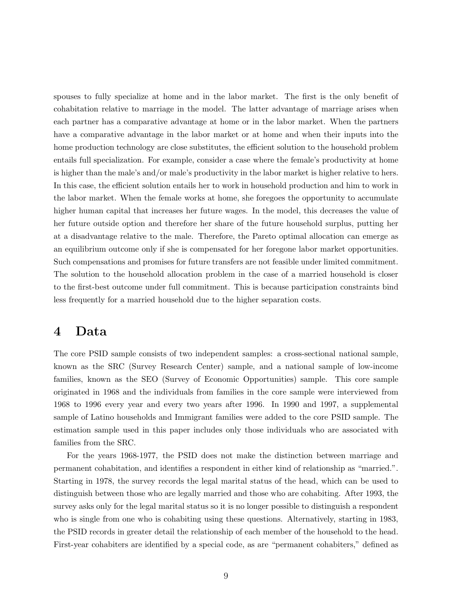spouses to fully specialize at home and in the labor market. The first is the only benefit of cohabitation relative to marriage in the model. The latter advantage of marriage arises when each partner has a comparative advantage at home or in the labor market. When the partners have a comparative advantage in the labor market or at home and when their inputs into the home production technology are close substitutes, the efficient solution to the household problem entails full specialization. For example, consider a case where the female's productivity at home is higher than the male's and/or male's productivity in the labor market is higher relative to hers. In this case, the efficient solution entails her to work in household production and him to work in the labor market. When the female works at home, she foregoes the opportunity to accumulate higher human capital that increases her future wages. In the model, this decreases the value of her future outside option and therefore her share of the future household surplus, putting her at a disadvantage relative to the male. Therefore, the Pareto optimal allocation can emerge as an equilibrium outcome only if she is compensated for her foregone labor market opportunities. Such compensations and promises for future transfers are not feasible under limited commitment. The solution to the household allocation problem in the case of a married household is closer to the first-best outcome under full commitment. This is because participation constraints bind less frequently for a married household due to the higher separation costs.

# 4 Data

The core PSID sample consists of two independent samples: a cross-sectional national sample, known as the SRC (Survey Research Center) sample, and a national sample of low-income families, known as the SEO (Survey of Economic Opportunities) sample. This core sample originated in 1968 and the individuals from families in the core sample were interviewed from 1968 to 1996 every year and every two years after 1996. In 1990 and 1997, a supplemental sample of Latino households and Immigrant families were added to the core PSID sample. The estimation sample used in this paper includes only those individuals who are associated with families from the SRC.

For the years 1968-1977, the PSID does not make the distinction between marriage and permanent cohabitation, and identifies a respondent in either kind of relationship as "married.". Starting in 1978, the survey records the legal marital status of the head, which can be used to distinguish between those who are legally married and those who are cohabiting. After 1993, the survey asks only for the legal marital status so it is no longer possible to distinguish a respondent who is single from one who is cohabiting using these questions. Alternatively, starting in 1983, the PSID records in greater detail the relationship of each member of the household to the head. First-year cohabiters are identified by a special code, as are "permanent cohabiters," defined as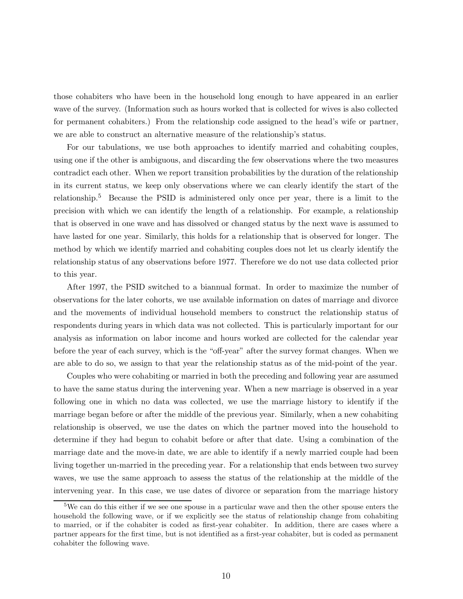those cohabiters who have been in the household long enough to have appeared in an earlier wave of the survey. (Information such as hours worked that is collected for wives is also collected for permanent cohabiters.) From the relationship code assigned to the head's wife or partner, we are able to construct an alternative measure of the relationship's status.

For our tabulations, we use both approaches to identify married and cohabiting couples, using one if the other is ambiguous, and discarding the few observations where the two measures contradict each other. When we report transition probabilities by the duration of the relationship in its current status, we keep only observations where we can clearly identify the start of the relationship.<sup>5</sup> Because the PSID is administered only once per year, there is a limit to the precision with which we can identify the length of a relationship. For example, a relationship that is observed in one wave and has dissolved or changed status by the next wave is assumed to have lasted for one year. Similarly, this holds for a relationship that is observed for longer. The method by which we identify married and cohabiting couples does not let us clearly identify the relationship status of any observations before 1977. Therefore we do not use data collected prior to this year.

After 1997, the PSID switched to a biannual format. In order to maximize the number of observations for the later cohorts, we use available information on dates of marriage and divorce and the movements of individual household members to construct the relationship status of respondents during years in which data was not collected. This is particularly important for our analysis as information on labor income and hours worked are collected for the calendar year before the year of each survey, which is the "off-year" after the survey format changes. When we are able to do so, we assign to that year the relationship status as of the mid-point of the year.

Couples who were cohabiting or married in both the preceding and following year are assumed to have the same status during the intervening year. When a new marriage is observed in a year following one in which no data was collected, we use the marriage history to identify if the marriage began before or after the middle of the previous year. Similarly, when a new cohabiting relationship is observed, we use the dates on which the partner moved into the household to determine if they had begun to cohabit before or after that date. Using a combination of the marriage date and the move-in date, we are able to identify if a newly married couple had been living together un-married in the preceding year. For a relationship that ends between two survey waves, we use the same approach to assess the status of the relationship at the middle of the intervening year. In this case, we use dates of divorce or separation from the marriage history

<sup>5</sup>We can do this either if we see one spouse in a particular wave and then the other spouse enters the household the following wave, or if we explicitly see the status of relationship change from cohabiting to married, or if the cohabiter is coded as first-year cohabiter. In addition, there are cases where a partner appears for the first time, but is not identified as a first-year cohabiter, but is coded as permanent cohabiter the following wave.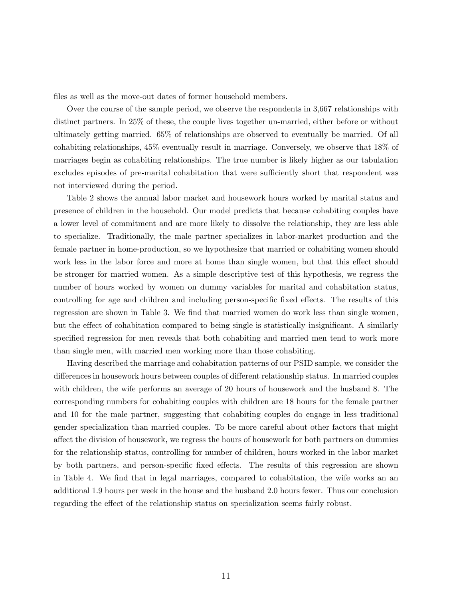files as well as the move-out dates of former household members.

Over the course of the sample period, we observe the respondents in 3,667 relationships with distinct partners. In 25% of these, the couple lives together un-married, either before or without ultimately getting married. 65% of relationships are observed to eventually be married. Of all cohabiting relationships, 45% eventually result in marriage. Conversely, we observe that 18% of marriages begin as cohabiting relationships. The true number is likely higher as our tabulation excludes episodes of pre-marital cohabitation that were sufficiently short that respondent was not interviewed during the period.

Table 2 shows the annual labor market and housework hours worked by marital status and presence of children in the household. Our model predicts that because cohabiting couples have a lower level of commitment and are more likely to dissolve the relationship, they are less able to specialize. Traditionally, the male partner specializes in labor-market production and the female partner in home-production, so we hypothesize that married or cohabiting women should work less in the labor force and more at home than single women, but that this effect should be stronger for married women. As a simple descriptive test of this hypothesis, we regress the number of hours worked by women on dummy variables for marital and cohabitation status, controlling for age and children and including person-specific fixed effects. The results of this regression are shown in Table 3. We find that married women do work less than single women, but the effect of cohabitation compared to being single is statistically insignificant. A similarly specified regression for men reveals that both cohabiting and married men tend to work more than single men, with married men working more than those cohabiting.

Having described the marriage and cohabitation patterns of our PSID sample, we consider the differences in housework hours between couples of different relationship status. In married couples with children, the wife performs an average of 20 hours of housework and the husband 8. The corresponding numbers for cohabiting couples with children are 18 hours for the female partner and 10 for the male partner, suggesting that cohabiting couples do engage in less traditional gender specialization than married couples. To be more careful about other factors that might affect the division of housework, we regress the hours of housework for both partners on dummies for the relationship status, controlling for number of children, hours worked in the labor market by both partners, and person-specific fixed effects. The results of this regression are shown in Table 4. We find that in legal marriages, compared to cohabitation, the wife works an an additional 1.9 hours per week in the house and the husband 2.0 hours fewer. Thus our conclusion regarding the effect of the relationship status on specialization seems fairly robust.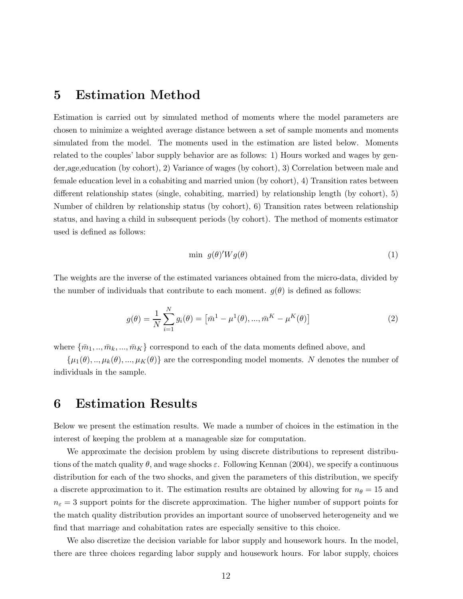## 5 Estimation Method

Estimation is carried out by simulated method of moments where the model parameters are chosen to minimize a weighted average distance between a set of sample moments and moments simulated from the model. The moments used in the estimation are listed below. Moments related to the couples' labor supply behavior are as follows: 1) Hours worked and wages by gender,age,education (by cohort), 2) Variance of wages (by cohort), 3) Correlation between male and female education level in a cohabiting and married union (by cohort), 4) Transition rates between different relationship states (single, cohabiting, married) by relationship length (by cohort), 5) Number of children by relationship status (by cohort), 6) Transition rates between relationship status, and having a child in subsequent periods (by cohort). The method of moments estimator used is defined as follows:

$$
\min \ g(\theta)' W g(\theta) \tag{1}
$$

The weights are the inverse of the estimated variances obtained from the micro-data, divided by the number of individuals that contribute to each moment.  $g(\theta)$  is defined as follows:

$$
g(\theta) = \frac{1}{N} \sum_{i=1}^{N} g_i(\theta) = \left[ \bar{m}^1 - \mu^1(\theta), \dots, \bar{m}^K - \mu^K(\theta) \right]
$$
 (2)

where  $\{\bar{m}_1, ..., \bar{m}_k, ..., \bar{m}_K\}$  correspond to each of the data moments defined above, and

 $\{\mu_1(\theta), ..., \mu_k(\theta), ..., \mu_K(\theta)\}\$ are the corresponding model moments. N denotes the number of individuals in the sample.

### 6 Estimation Results

Below we present the estimation results. We made a number of choices in the estimation in the interest of keeping the problem at a manageable size for computation.

We approximate the decision problem by using discrete distributions to represent distributions of the match quality  $\theta$ , and wage shocks  $\varepsilon$ . Following Kennan (2004), we specify a continuous distribution for each of the two shocks, and given the parameters of this distribution, we specify a discrete approximation to it. The estimation results are obtained by allowing for  $n_{\theta} = 15$  and  $n_{\varepsilon} = 3$  support points for the discrete approximation. The higher number of support points for the match quality distribution provides an important source of unobserved heterogeneity and we find that marriage and cohabitation rates are especially sensitive to this choice.

We also discretize the decision variable for labor supply and housework hours. In the model, there are three choices regarding labor supply and housework hours. For labor supply, choices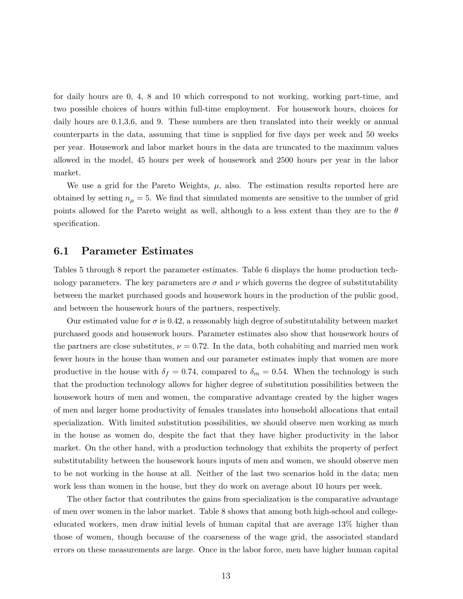for daily hours are 0, 4, 8 and 10 which correspond to not working, working part-time, and two possible choices of hours within full-time employment. For housework hours, choices for daily hours are  $0.1,3,6$ , and 9. These numbers are then translated into their weekly or annual counterparts in the data, assuming that time is supplied for five days per week and 50 weeks per year. Housework and labor market hours in the data are truncated to the maximum values allowed in the model, 45 hours per week of housework and 2500 hours per year in the labor market.

We use a grid for the Pareto Weights,  $\mu$ , also. The estimation results reported here are obtained by setting  $n_{\mu} = 5$ . We find that simulated moments are sensitive to the number of grid points allowed for the Pareto weight as well, although to a less extent than they are to the  $\theta$ specification.

#### 6.1 Parameter Estimates

Tables 5 through 8 report the parameter estimates. Table 6 displays the home production technology parameters. The key parameters are  $\sigma$  and  $\nu$  which governs the degree of substitutability between the market purchased goods and housework hours in the production of the public good, and between the housework hours of the partners, respectively.

Our estimated value for  $\sigma$  is 0.42, a reasonably high degree of substitutability between market purchased goods and housework hours. Parameter estimates also show that housework hours of the partners are close substitutes,  $\nu = 0.72$ . In the data, both cohabiting and married men work fewer hours in the house than women and our parameter estimates imply that women are more productive in the house with  $\delta_f = 0.74$ , compared to  $\delta_m = 0.54$ . When the technology is such that the production technology allows for higher degree of substitution possibilities between the housework hours of men and women, the comparative advantage created by the higher wages of men and larger home productivity of females translates into household allocations that entail specialization. With limited substitution possibilities, we should observe men working as much in the house as women do, despite the fact that they have higher productivity in the labor market. On the other hand, with a production technology that exhibits the property of perfect substitutability between the housework hours inputs of men and women, we should observe men to be not working in the house at all. Neither of the last two scenarios hold in the data; men work less than women in the house, but they do work on average about 10 hours per week.

The other factor that contributes the gains from specialization is the comparative advantage of men over women in the labor market. Table 8 shows that among both high-school and collegeeducated workers, men draw initial levels of human capital that are average 13% higher than those of women, though because of the coarseness of the wage grid, the associated standard errors on these measurements are large. Once in the labor force, men have higher human capital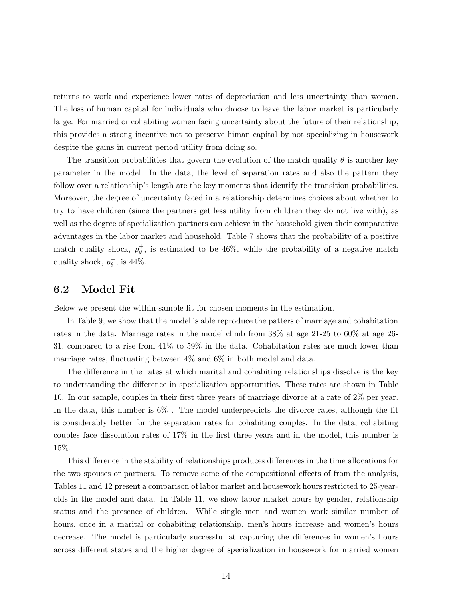returns to work and experience lower rates of depreciation and less uncertainty than women. The loss of human capital for individuals who choose to leave the labor market is particularly large. For married or cohabiting women facing uncertainty about the future of their relationship, this provides a strong incentive not to preserve himan capital by not specializing in housework despite the gains in current period utility from doing so.

The transition probabilities that govern the evolution of the match quality  $\theta$  is another key parameter in the model. In the data, the level of separation rates and also the pattern they follow over a relationship's length are the key moments that identify the transition probabilities. Moreover, the degree of uncertainty faced in a relationship determines choices about whether to try to have children (since the partners get less utility from children they do not live with), as well as the degree of specialization partners can achieve in the household given their comparative advantages in the labor market and household. Table 7 shows that the probability of a positive match quality shock,  $p_{\theta}^+$  $\theta$ , is estimated to be 46%, while the probability of a negative match quality shock,  $p_{\theta}^ \frac{\overline{}}{\theta}$ , is 44%.

#### 6.2 Model Fit

Below we present the within-sample fit for chosen moments in the estimation.

In Table 9, we show that the model is able reproduce the patters of marriage and cohabitation rates in the data. Marriage rates in the model climb from 38% at age 21-25 to 60% at age 26- 31, compared to a rise from 41% to 59% in the data. Cohabitation rates are much lower than marriage rates, fluctuating between 4% and 6% in both model and data.

The difference in the rates at which marital and cohabiting relationships dissolve is the key to understanding the difference in specialization opportunities. These rates are shown in Table 10. In our sample, couples in their first three years of marriage divorce at a rate of 2% per year. In the data, this number is 6% . The model underpredicts the divorce rates, although the fit is considerably better for the separation rates for cohabiting couples. In the data, cohabiting couples face dissolution rates of 17% in the first three years and in the model, this number is 15%.

This difference in the stability of relationships produces differences in the time allocations for the two spouses or partners. To remove some of the compositional effects of from the analysis, Tables 11 and 12 present a comparison of labor market and housework hours restricted to 25-yearolds in the model and data. In Table 11, we show labor market hours by gender, relationship status and the presence of children. While single men and women work similar number of hours, once in a marital or cohabiting relationship, men's hours increase and women's hours decrease. The model is particularly successful at capturing the differences in women's hours across different states and the higher degree of specialization in housework for married women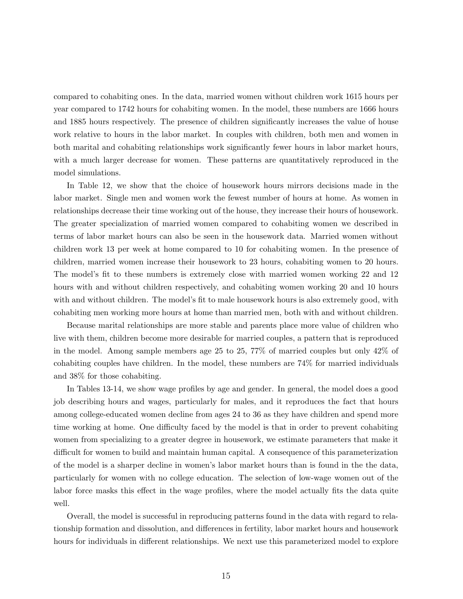compared to cohabiting ones. In the data, married women without children work 1615 hours per year compared to 1742 hours for cohabiting women. In the model, these numbers are 1666 hours and 1885 hours respectively. The presence of children significantly increases the value of house work relative to hours in the labor market. In couples with children, both men and women in both marital and cohabiting relationships work significantly fewer hours in labor market hours, with a much larger decrease for women. These patterns are quantitatively reproduced in the model simulations.

In Table 12, we show that the choice of housework hours mirrors decisions made in the labor market. Single men and women work the fewest number of hours at home. As women in relationships decrease their time working out of the house, they increase their hours of housework. The greater specialization of married women compared to cohabiting women we described in terms of labor market hours can also be seen in the housework data. Married women without children work 13 per week at home compared to 10 for cohabiting women. In the presence of children, married women increase their housework to 23 hours, cohabiting women to 20 hours. The model's fit to these numbers is extremely close with married women working 22 and 12 hours with and without children respectively, and cohabiting women working 20 and 10 hours with and without children. The model's fit to male housework hours is also extremely good, with cohabiting men working more hours at home than married men, both with and without children.

Because marital relationships are more stable and parents place more value of children who live with them, children become more desirable for married couples, a pattern that is reproduced in the model. Among sample members age 25 to 25, 77% of married couples but only 42% of cohabiting couples have children. In the model, these numbers are 74% for married individuals and 38% for those cohabiting.

In Tables 13-14, we show wage profiles by age and gender. In general, the model does a good job describing hours and wages, particularly for males, and it reproduces the fact that hours among college-educated women decline from ages 24 to 36 as they have children and spend more time working at home. One difficulty faced by the model is that in order to prevent cohabiting women from specializing to a greater degree in housework, we estimate parameters that make it difficult for women to build and maintain human capital. A consequence of this parameterization of the model is a sharper decline in women's labor market hours than is found in the the data, particularly for women with no college education. The selection of low-wage women out of the labor force masks this effect in the wage profiles, where the model actually fits the data quite well.

Overall, the model is successful in reproducing patterns found in the data with regard to relationship formation and dissolution, and differences in fertility, labor market hours and housework hours for individuals in different relationships. We next use this parameterized model to explore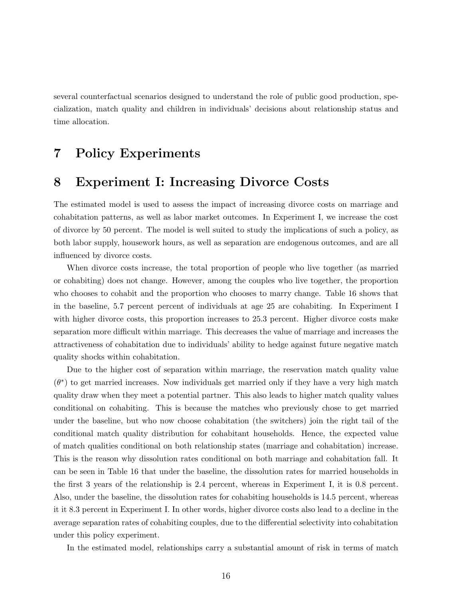several counterfactual scenarios designed to understand the role of public good production, specialization, match quality and children in individuals' decisions about relationship status and time allocation.

# 7 Policy Experiments

# 8 Experiment I: Increasing Divorce Costs

The estimated model is used to assess the impact of increasing divorce costs on marriage and cohabitation patterns, as well as labor market outcomes. In Experiment I, we increase the cost of divorce by 50 percent. The model is well suited to study the implications of such a policy, as both labor supply, housework hours, as well as separation are endogenous outcomes, and are all influenced by divorce costs.

When divorce costs increase, the total proportion of people who live together (as married or cohabiting) does not change. However, among the couples who live together, the proportion who chooses to cohabit and the proportion who chooses to marry change. Table 16 shows that in the baseline, 5.7 percent percent of individuals at age 25 are cohabiting. In Experiment I with higher divorce costs, this proportion increases to 25.3 percent. Higher divorce costs make separation more difficult within marriage. This decreases the value of marriage and increases the attractiveness of cohabitation due to individuals' ability to hedge against future negative match quality shocks within cohabitation.

Due to the higher cost of separation within marriage, the reservation match quality value  $(\theta^*)$  to get married increases. Now individuals get married only if they have a very high match quality draw when they meet a potential partner. This also leads to higher match quality values conditional on cohabiting. This is because the matches who previously chose to get married under the baseline, but who now choose cohabitation (the switchers) join the right tail of the conditional match quality distribution for cohabitant households. Hence, the expected value of match qualities conditional on both relationship states (marriage and cohabitation) increase. This is the reason why dissolution rates conditional on both marriage and cohabitation fall. It can be seen in Table 16 that under the baseline, the dissolution rates for married households in the first 3 years of the relationship is 2.4 percent, whereas in Experiment I, it is 0.8 percent. Also, under the baseline, the dissolution rates for cohabiting households is 14.5 percent, whereas it it 8.3 percent in Experiment I. In other words, higher divorce costs also lead to a decline in the average separation rates of cohabiting couples, due to the differential selectivity into cohabitation under this policy experiment.

In the estimated model, relationships carry a substantial amount of risk in terms of match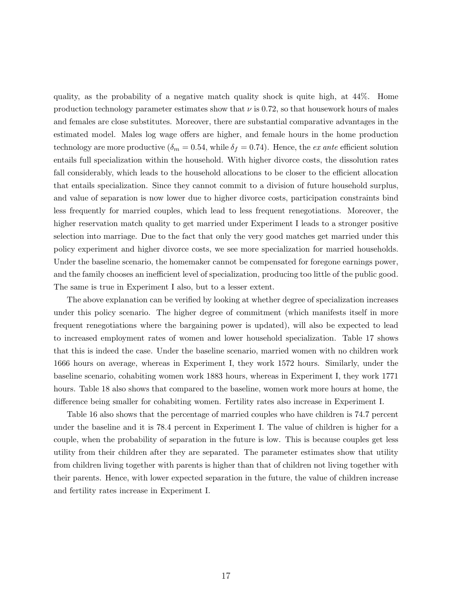quality, as the probability of a negative match quality shock is quite high, at 44%. Home production technology parameter estimates show that  $\nu$  is 0.72, so that housework hours of males and females are close substitutes. Moreover, there are substantial comparative advantages in the estimated model. Males log wage offers are higher, and female hours in the home production technology are more productive ( $\delta_m = 0.54$ , while  $\delta_f = 0.74$ ). Hence, the *ex ante* efficient solution entails full specialization within the household. With higher divorce costs, the dissolution rates fall considerably, which leads to the household allocations to be closer to the efficient allocation that entails specialization. Since they cannot commit to a division of future household surplus, and value of separation is now lower due to higher divorce costs, participation constraints bind less frequently for married couples, which lead to less frequent renegotiations. Moreover, the higher reservation match quality to get married under Experiment I leads to a stronger positive selection into marriage. Due to the fact that only the very good matches get married under this policy experiment and higher divorce costs, we see more specialization for married households. Under the baseline scenario, the homemaker cannot be compensated for foregone earnings power, and the family chooses an inefficient level of specialization, producing too little of the public good. The same is true in Experiment I also, but to a lesser extent.

The above explanation can be verified by looking at whether degree of specialization increases under this policy scenario. The higher degree of commitment (which manifests itself in more frequent renegotiations where the bargaining power is updated), will also be expected to lead to increased employment rates of women and lower household specialization. Table 17 shows that this is indeed the case. Under the baseline scenario, married women with no children work 1666 hours on average, whereas in Experiment I, they work 1572 hours. Similarly, under the baseline scenario, cohabiting women work 1883 hours, whereas in Experiment I, they work 1771 hours. Table 18 also shows that compared to the baseline, women work more hours at home, the difference being smaller for cohabiting women. Fertility rates also increase in Experiment I.

Table 16 also shows that the percentage of married couples who have children is 74.7 percent under the baseline and it is 78.4 percent in Experiment I. The value of children is higher for a couple, when the probability of separation in the future is low. This is because couples get less utility from their children after they are separated. The parameter estimates show that utility from children living together with parents is higher than that of children not living together with their parents. Hence, with lower expected separation in the future, the value of children increase and fertility rates increase in Experiment I.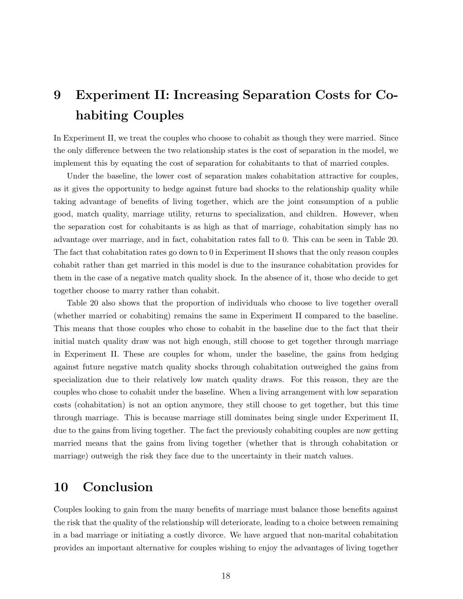# 9 Experiment II: Increasing Separation Costs for Cohabiting Couples

In Experiment II, we treat the couples who choose to cohabit as though they were married. Since the only difference between the two relationship states is the cost of separation in the model, we implement this by equating the cost of separation for cohabitants to that of married couples.

Under the baseline, the lower cost of separation makes cohabitation attractive for couples, as it gives the opportunity to hedge against future bad shocks to the relationship quality while taking advantage of benefits of living together, which are the joint consumption of a public good, match quality, marriage utility, returns to specialization, and children. However, when the separation cost for cohabitants is as high as that of marriage, cohabitation simply has no advantage over marriage, and in fact, cohabitation rates fall to 0. This can be seen in Table 20. The fact that cohabitation rates go down to 0 in Experiment II shows that the only reason couples cohabit rather than get married in this model is due to the insurance cohabitation provides for them in the case of a negative match quality shock. In the absence of it, those who decide to get together choose to marry rather than cohabit.

Table 20 also shows that the proportion of individuals who choose to live together overall (whether married or cohabiting) remains the same in Experiment II compared to the baseline. This means that those couples who chose to cohabit in the baseline due to the fact that their initial match quality draw was not high enough, still choose to get together through marriage in Experiment II. These are couples for whom, under the baseline, the gains from hedging against future negative match quality shocks through cohabitation outweighed the gains from specialization due to their relatively low match quality draws. For this reason, they are the couples who chose to cohabit under the baseline. When a living arrangement with low separation costs (cohabitation) is not an option anymore, they still choose to get together, but this time through marriage. This is because marriage still dominates being single under Experiment II, due to the gains from living together. The fact the previously cohabiting couples are now getting married means that the gains from living together (whether that is through cohabitation or marriage) outweigh the risk they face due to the uncertainty in their match values.

# 10 Conclusion

Couples looking to gain from the many benefits of marriage must balance those benefits against the risk that the quality of the relationship will deteriorate, leading to a choice between remaining in a bad marriage or initiating a costly divorce. We have argued that non-marital cohabitation provides an important alternative for couples wishing to enjoy the advantages of living together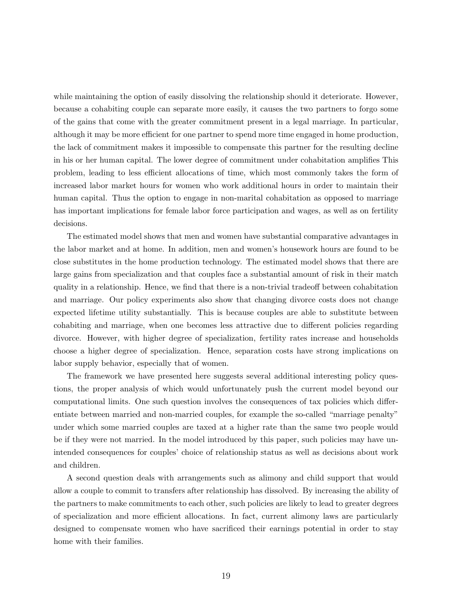while maintaining the option of easily dissolving the relationship should it deteriorate. However, because a cohabiting couple can separate more easily, it causes the two partners to forgo some of the gains that come with the greater commitment present in a legal marriage. In particular, although it may be more efficient for one partner to spend more time engaged in home production, the lack of commitment makes it impossible to compensate this partner for the resulting decline in his or her human capital. The lower degree of commitment under cohabitation amplifies This problem, leading to less efficient allocations of time, which most commonly takes the form of increased labor market hours for women who work additional hours in order to maintain their human capital. Thus the option to engage in non-marital cohabitation as opposed to marriage has important implications for female labor force participation and wages, as well as on fertility decisions.

The estimated model shows that men and women have substantial comparative advantages in the labor market and at home. In addition, men and women's housework hours are found to be close substitutes in the home production technology. The estimated model shows that there are large gains from specialization and that couples face a substantial amount of risk in their match quality in a relationship. Hence, we find that there is a non-trivial tradeoff between cohabitation and marriage. Our policy experiments also show that changing divorce costs does not change expected lifetime utility substantially. This is because couples are able to substitute between cohabiting and marriage, when one becomes less attractive due to different policies regarding divorce. However, with higher degree of specialization, fertility rates increase and households choose a higher degree of specialization. Hence, separation costs have strong implications on labor supply behavior, especially that of women.

The framework we have presented here suggests several additional interesting policy questions, the proper analysis of which would unfortunately push the current model beyond our computational limits. One such question involves the consequences of tax policies which differentiate between married and non-married couples, for example the so-called "marriage penalty" under which some married couples are taxed at a higher rate than the same two people would be if they were not married. In the model introduced by this paper, such policies may have unintended consequences for couples' choice of relationship status as well as decisions about work and children.

A second question deals with arrangements such as alimony and child support that would allow a couple to commit to transfers after relationship has dissolved. By increasing the ability of the partners to make commitments to each other, such policies are likely to lead to greater degrees of specialization and more efficient allocations. In fact, current alimony laws are particularly designed to compensate women who have sacrificed their earnings potential in order to stay home with their families.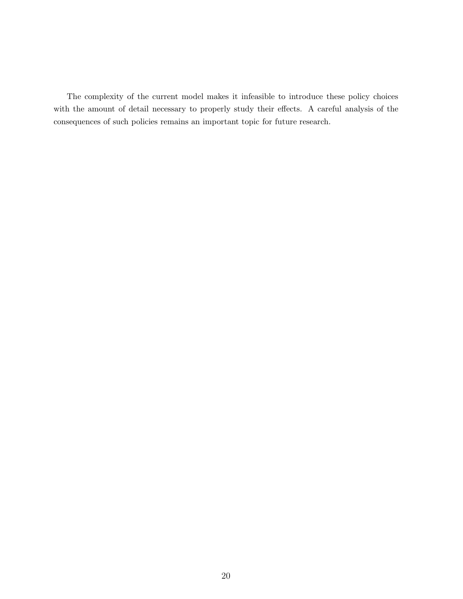The complexity of the current model makes it infeasible to introduce these policy choices with the amount of detail necessary to properly study their effects. A careful analysis of the consequences of such policies remains an important topic for future research.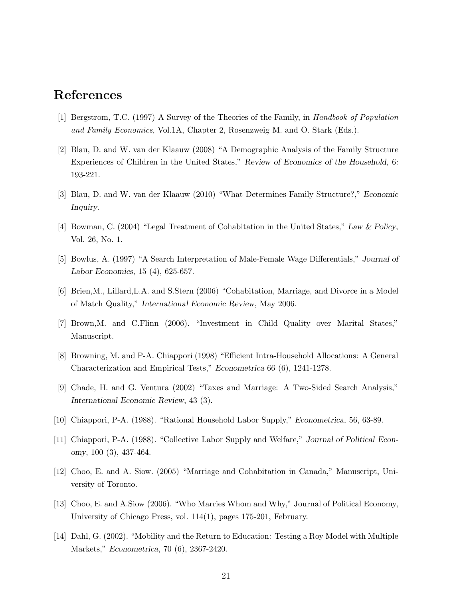## References

- [1] Bergstrom, T.C. (1997) A Survey of the Theories of the Family, in Handbook of Population and Family Economics, Vol.1A, Chapter 2, Rosenzweig M. and O. Stark (Eds.).
- [2] Blau, D. and W. van der Klaauw (2008) "A Demographic Analysis of the Family Structure Experiences of Children in the United States," Review of Economics of the Household, 6: 193-221.
- [3] Blau, D. and W. van der Klaauw (2010) "What Determines Family Structure?," Economic Inquiry.
- [4] Bowman, C. (2004) "Legal Treatment of Cohabitation in the United States," Law & Policy, Vol. 26, No. 1.
- [5] Bowlus, A. (1997) "A Search Interpretation of Male-Female Wage Differentials," Journal of Labor Economics, 15 (4), 625-657.
- [6] Brien,M., Lillard,L.A. and S.Stern (2006) "Cohabitation, Marriage, and Divorce in a Model of Match Quality," International Economic Review, May 2006.
- [7] Brown,M. and C.Flinn (2006). "Investment in Child Quality over Marital States," Manuscript.
- [8] Browning, M. and P-A. Chiappori (1998) "Efficient Intra-Household Allocations: A General Characterization and Empirical Tests," Econometrica 66 (6), 1241-1278.
- [9] Chade, H. and G. Ventura (2002) "Taxes and Marriage: A Two-Sided Search Analysis," International Economic Review, 43 (3).
- [10] Chiappori, P-A. (1988). "Rational Household Labor Supply," Econometrica, 56, 63-89.
- [11] Chiappori, P-A. (1988). "Collective Labor Supply and Welfare," Journal of Political Economy, 100 (3), 437-464.
- [12] Choo, E. and A. Siow. (2005) "Marriage and Cohabitation in Canada," Manuscript, University of Toronto.
- [13] Choo, E. and A.Siow (2006). "Who Marries Whom and Why," Journal of Political Economy, University of Chicago Press, vol. 114(1), pages 175-201, February.
- [14] Dahl, G. (2002). "Mobility and the Return to Education: Testing a Roy Model with Multiple Markets," Econometrica, 70 (6), 2367-2420.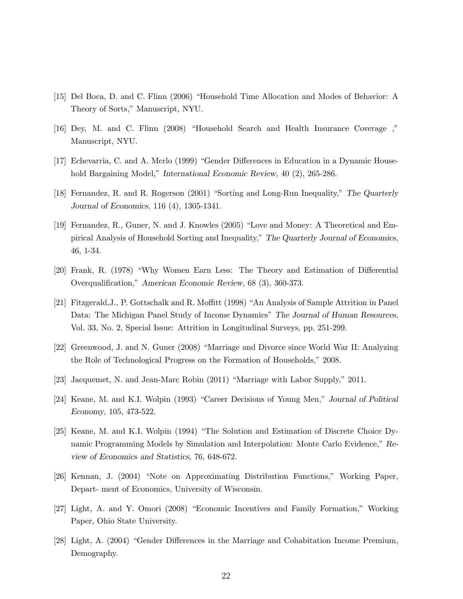- [15] Del Boca, D. and C. Flinn (2006) "Household Time Allocation and Modes of Behavior: A Theory of Sorts," Manuscript, NYU.
- [16] Dey, M. and C. Flinn (2008) "Household Search and Health Insurance Coverage ," Manuscript, NYU.
- [17] Echevarria, C. and A. Merlo (1999) "Gender Differences in Education in a Dynamic Household Bargaining Model," International Economic Review, 40 (2), 265-286.
- [18] Fernandez, R. and R. Rogerson (2001) "Sorting and Long-Run Inequality," The Quarterly Journal of Economics, 116 (4), 1305-1341.
- [19] Fernandez, R., Guner, N. and J. Knowles (2005) "Love and Money: A Theoretical and Empirical Analysis of Household Sorting and Inequality," The Quarterly Journal of Economics, 46, 1-34.
- [20] Frank, R. (1978) "Why Women Earn Less: The Theory and Estimation of Differential Overqualification," American Economic Review, 68 (3), 360-373.
- [21] Fitzgerald,J., P. Gottschalk and R. Moffitt (1998) "An Analysis of Sample Attrition in Panel Data: The Michigan Panel Study of Income Dynamics" The Journal of Human Resources, Vol. 33, No. 2, Special Issue: Attrition in Longitudinal Surveys, pp. 251-299.
- [22] Greenwood, J. and N. Guner (2008) "Marriage and Divorce since World War II: Analyzing the Role of Technological Progress on the Formation of Households," 2008.
- [23] Jacquemet, N. and Jean-Marc Robin (2011) "Marriage with Labor Supply," 2011.
- [24] Keane, M. and K.I. Wolpin (1993) "Career Decisions of Young Men," Journal of Political Economy, 105, 473-522.
- [25] Keane, M. and K.I. Wolpin (1994) "The Solution and Estimation of Discrete Choice Dynamic Programming Models by Simulation and Interpolation: Monte Carlo Evidence," Review of Economics and Statistics, 76, 648-672.
- [26] Kennan, J. (2004) "Note on Approximating Distribution Functions," Working Paper, Depart- ment of Economics, University of Wisconsin.
- [27] Light, A. and Y. Omori (2008) "Economic Incentives and Family Formation," Working Paper, Ohio State University.
- [28] Light, A. (2004) "Gender Differences in the Marriage and Cohabitation Income Premium, Demography.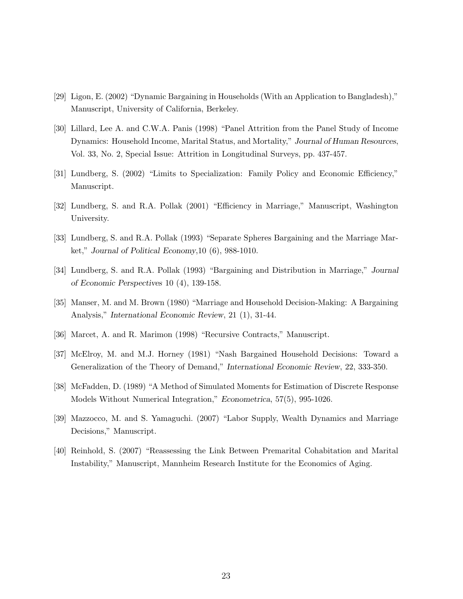- [29] Ligon, E. (2002) "Dynamic Bargaining in Households (With an Application to Bangladesh)," Manuscript, University of California, Berkeley.
- [30] Lillard, Lee A. and C.W.A. Panis (1998) "Panel Attrition from the Panel Study of Income Dynamics: Household Income, Marital Status, and Mortality," Journal of Human Resources, Vol. 33, No. 2, Special Issue: Attrition in Longitudinal Surveys, pp. 437-457.
- [31] Lundberg, S. (2002) "Limits to Specialization: Family Policy and Economic Efficiency," Manuscript.
- [32] Lundberg, S. and R.A. Pollak (2001) "Efficiency in Marriage," Manuscript, Washington University.
- [33] Lundberg, S. and R.A. Pollak (1993) "Separate Spheres Bargaining and the Marriage Market," Journal of Political Economy,10 (6), 988-1010.
- [34] Lundberg, S. and R.A. Pollak (1993) "Bargaining and Distribution in Marriage," Journal of Economic Perspectives 10 (4), 139-158.
- [35] Manser, M. and M. Brown (1980) "Marriage and Household Decision-Making: A Bargaining Analysis," International Economic Review, 21 (1), 31-44.
- [36] Marcet, A. and R. Marimon (1998) "Recursive Contracts," Manuscript.
- [37] McElroy, M. and M.J. Horney (1981) "Nash Bargained Household Decisions: Toward a Generalization of the Theory of Demand," International Economic Review, 22, 333-350.
- [38] McFadden, D. (1989) "A Method of Simulated Moments for Estimation of Discrete Response Models Without Numerical Integration," Econometrica, 57(5), 995-1026.
- [39] Mazzocco, M. and S. Yamaguchi. (2007) "Labor Supply, Wealth Dynamics and Marriage Decisions," Manuscript.
- [40] Reinhold, S. (2007) "Reassessing the Link Between Premarital Cohabitation and Marital Instability," Manuscript, Mannheim Research Institute for the Economics of Aging.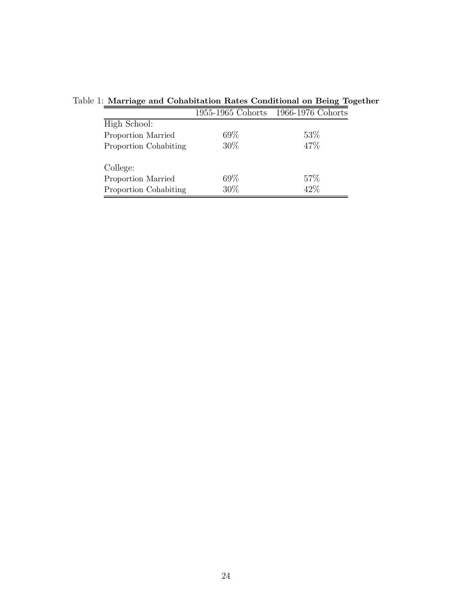|                       |        | 1955-1965 Cohorts 1966-1976 Cohorts |
|-----------------------|--------|-------------------------------------|
| High School:          |        |                                     |
| Proportion Married    | $69\%$ | 53\%                                |
| Proportion Cohabiting | $30\%$ | 47%                                 |
| College:              |        |                                     |
| Proportion Married    | 69\%   | 57\%                                |
| Proportion Cohabiting | $30\%$ | 42\%                                |

Table 1: Marriage and Cohabitation Rates Conditional on Being Together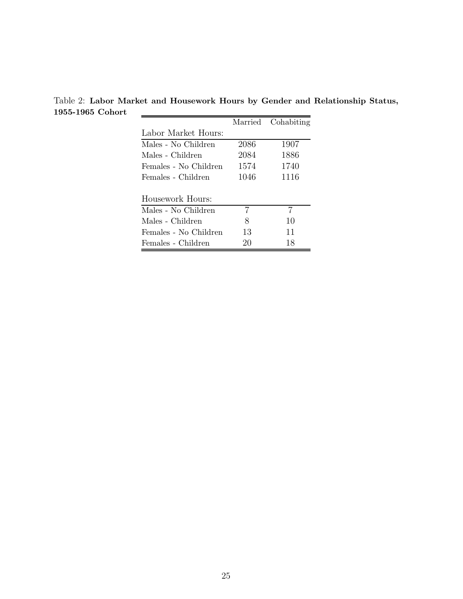Table 2: Labor Market and Housework Hours by Gender and Relationship Status, 1955-1965 Cohort

|                       | Married | Cohabiting |
|-----------------------|---------|------------|
| Labor Market Hours:   |         |            |
| Males - No Children   | 2086    | 1907       |
| Males - Children      | 2084    | 1886       |
| Females - No Children | 1574    | 1740       |
| Females - Children    | 1046    | 1116       |
|                       |         |            |
| Housework Hours:      |         |            |
| Males - No Children   | 7       | 7          |
| Males - Children      | 8       | 10         |
| Females - No Children | 13      | 11         |
| Females - Children    | 20      | 18         |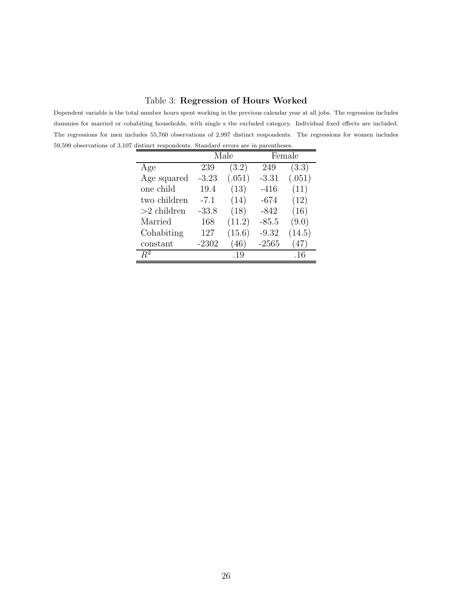#### Table 3: Regression of Hours Worked

Dependent variable is the total number hours spent working in the previous calendar year at all jobs. The regression includes dummies for married or cohabiting households, with single s the excluded category. Individual fixed effects are included. The regressions for men includes 55,760 observations of 2,997 distinct respondents. The regressions for women includes 59,599 observations of 3,107 distinct respondents. Standard errors are in parentheses.

|               |         | Male   |         | Female |
|---------------|---------|--------|---------|--------|
| Age           | 239     | (3.2)  | 249     | (3.3)  |
| Age squared   | $-3.23$ | (.051) | $-3.31$ | (.051) |
| one child     | 19.4    | (13)   | $-416$  | (11)   |
| two children  | $-7.1$  | (14)   | $-674$  | (12)   |
| $>2$ children | $-33.8$ | (18)   | $-842$  | (16)   |
| Married       | 168     | (11.2) | $-85.5$ | (9.0)  |
| Cohabiting    | 127     | (15.6) | $-9.32$ | (14.5) |
| constant      | $-2302$ | (46)   | $-2565$ | 47     |
| $\,R^2$       |         | .19    |         | .16    |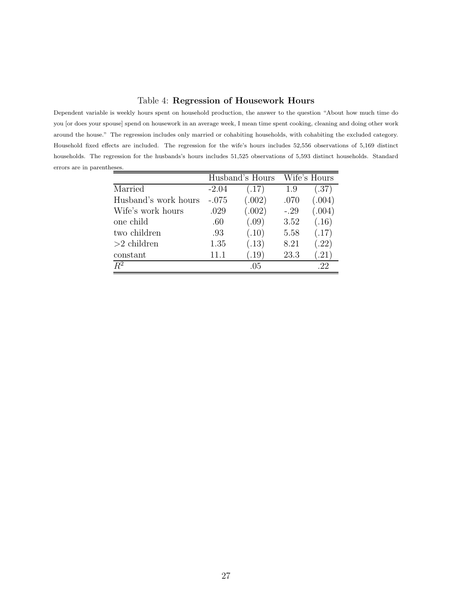#### Table 4: Regression of Housework Hours

Dependent variable is weekly hours spent on household production, the answer to the question "About how much time do you [or does your spouse] spend on housework in an average week, I mean time spent cooking, cleaning and doing other work around the house." The regression includes only married or cohabiting households, with cohabiting the excluded category. Household fixed effects are included. The regression for the wife's hours includes 52,556 observations of 5,169 distinct households. The regression for the husbands's hours includes 51,525 observations of 5,593 distinct households. Standard errors are in parentheses.

|                      |         | Husband's Hours |        | Wife's Hours |
|----------------------|---------|-----------------|--------|--------------|
| Married              | $-2.04$ | (.17)           | 1.9    | (.37)        |
| Husband's work hours | $-.075$ | (.002)          | .070   | (.004)       |
| Wife's work hours    | .029    | (.002)          | $-.29$ | (.004)       |
| one child            | .60     | (.09)           | 3.52   | (.16)        |
| two children         | .93     | (.10)           | 5.58   | (.17)        |
| $>2$ children        | 1.35    | (.13)           | 8.21   | (.22)        |
| constant             | 11.1    | (.19)           | 23.3   | (0.21)       |
| $R^2$                |         | .05             |        | .22          |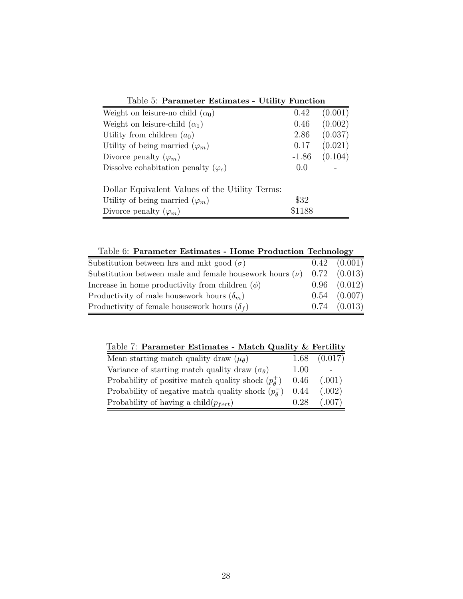| тарие от в аганиет в вещнате                   | $\sigma$ of $\sigma$ is a contracted to $\sigma$ |         |
|------------------------------------------------|--------------------------------------------------|---------|
| Weight on leisure-no child $(\alpha_0)$        | 0.42                                             | (0.001) |
| Weight on leisure-child $(\alpha_1)$           | 0.46                                             | (0.002) |
| Utility from children $(a_0)$                  | 2.86                                             | (0.037) |
| Utility of being married $(\varphi_m)$         | 0.17                                             | (0.021) |
| Divorce penalty $(\varphi_m)$                  | $-1.86$                                          | (0.104) |
| Dissolve cohabitation penalty $(\varphi_c)$    | 0.0                                              |         |
| Dollar Equivalent Values of the Utility Terms: |                                                  |         |
| Utility of being married $(\varphi_m)$         | \$32                                             |         |
| Divorce penalty $(\varphi_m)$                  | \$1188                                           |         |

Table 5: Parameter Estimates - Utility Function

Table 6: Parameter Estimates - Home Production Technology Substitution between hrs and mkt good  $(\sigma)$  0.42 (0.001) Substitution between male and female housework hours  $(\nu)$  0.72 (0.013) Increase in home productivity from children  $(\phi)$  0.96 (0.012) Productivity of male housework hours  $(\delta_m)$  0.54 (0.007) Productivity of female housework hours  $(\delta_f)$  0.74 (0.013)

Table 7: Parameter Estimates - Match Quality & Fertility

| Mean starting match quality draw $(\mu_{\theta})$            |      | $1.68$ $(0.017)$ |
|--------------------------------------------------------------|------|------------------|
| Variance of starting match quality draw $(\sigma_{\theta})$  | 1.00 |                  |
| Probability of positive match quality shock $(p_{\theta}^+)$ | 0.46 | (.001)           |
| Probability of negative match quality shock $(p_{\theta}^-)$ | 0.44 | (.002)           |
| Probability of having a child $(p_{fert})$                   | 0.28 | (.007)           |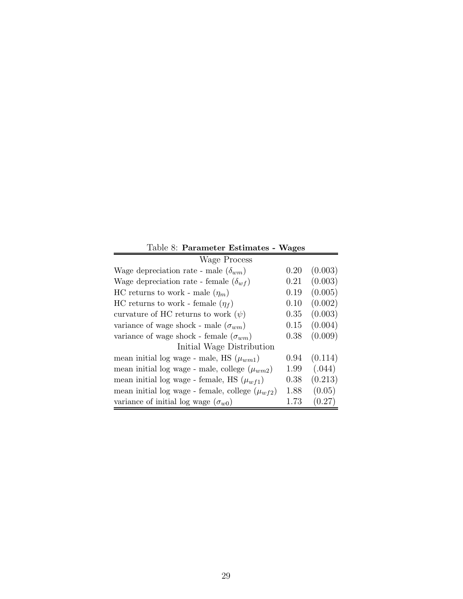| Table 8: Parameter Estimates - Wages                  |      |         |  |  |
|-------------------------------------------------------|------|---------|--|--|
| Wage Process                                          |      |         |  |  |
| Wage depreciation rate - male $(\delta_{wm})$         | 0.20 | (0.003) |  |  |
| Wage depreciation rate - female $(\delta_{wf})$       | 0.21 | (0.003) |  |  |
| HC returns to work - male $(\eta_m)$                  | 0.19 | (0.005) |  |  |
| HC returns to work - female $(\eta_f)$                | 0.10 | (0.002) |  |  |
| curvature of HC returns to work $(\psi)$              | 0.35 | (0.003) |  |  |
| variance of wage shock - male $(\sigma_{wm})$         | 0.15 | (0.004) |  |  |
| variance of wage shock - female $(\sigma_{wm})$       | 0.38 | (0.009) |  |  |
| Initial Wage Distribution                             |      |         |  |  |
| mean initial log wage - male, HS $(\mu_{wm1})$        | 0.94 | (0.114) |  |  |
| mean initial log wage - male, college $(\mu_{wm2})$   | 1.99 | (.044)  |  |  |
| mean initial log wage - female, HS $(\mu_{wf1})$      | 0.38 | (0.213) |  |  |
| mean initial log wage - female, college $(\mu_{wf2})$ | 1.88 | (0.05)  |  |  |
| variance of initial log wage $(\sigma_{w0})$          | 1.73 | (0.27)  |  |  |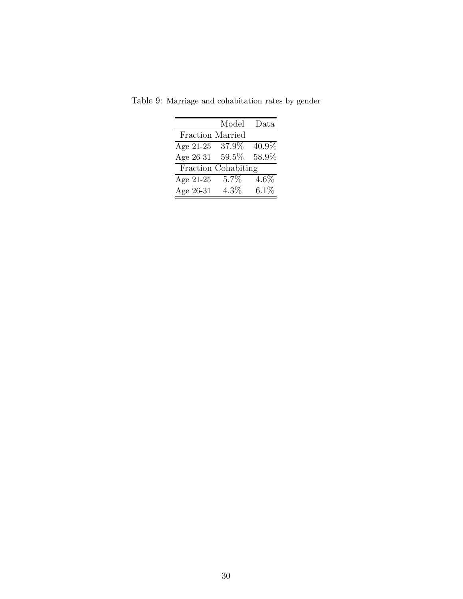|                     | Model   | Data    |
|---------------------|---------|---------|
| Fraction Married    |         |         |
| Age 21-25           | 37.9%   | 40.9%   |
| Age 26-31           | 59.5%   | 58.9%   |
| Fraction Cohabiting |         |         |
| Age 21-25           | 5.7%    | $4.6\%$ |
| Age 26-31           | $4.3\%$ | 6.1%    |

Table 9: Marriage and cohabitation rates by gender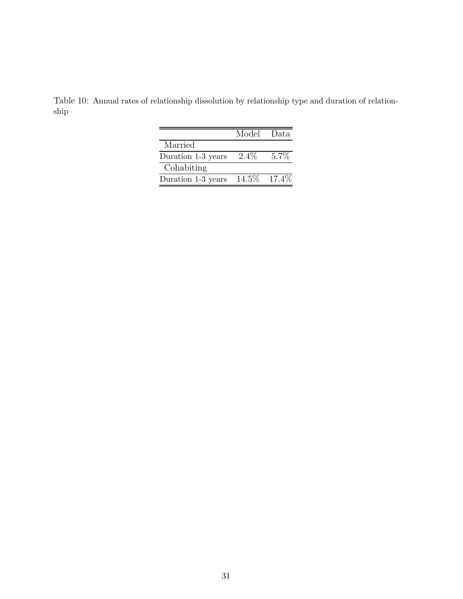Table 10: Annual rates of relationship dissolution by relationship type and duration of relationship

|                    | Model Data     |         |
|--------------------|----------------|---------|
| Married            |                |         |
| Duration 1-3 years | $2.4\%$        | $5.7\%$ |
| Cohabiting         |                |         |
| Duration 1-3 years | $14.5\%$ 17.4% |         |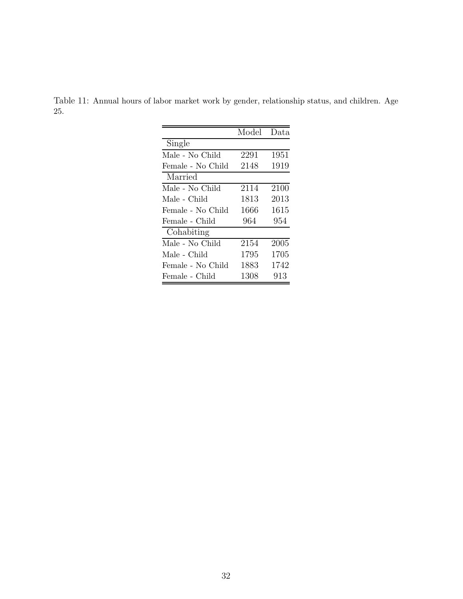Table 11: Annual hours of labor market work by gender, relationship status, and children. Age 25.

|                   | Model | Data |
|-------------------|-------|------|
| Single            |       |      |
| Male - No Child   | 2291  | 1951 |
| Female - No Child | 2148  | 1919 |
| Married           |       |      |
| Male - No Child   | 2114  | 2100 |
| Male - Child      | 1813  | 2013 |
| Female - No Child | 1666  | 1615 |
| Female - Child    | 964   | 954  |
| Cohabiting        |       |      |
| Male - No Child   | 2154  | 2005 |
| Male - Child      | 1795  | 1705 |
| Female - No Child | 1883  | 1742 |
| Female - Child    | 1308  | 913  |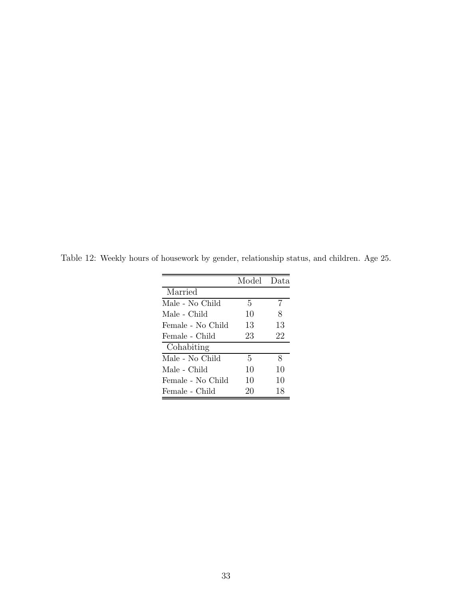|                   | Model Data |    |
|-------------------|------------|----|
| Married           |            |    |
| Male - No Child   | 5          | 7  |
| Male - Child      | 10         | 8  |
| Female - No Child | 13         | 13 |
| Female - Child    | 23         | 22 |
| Cohabiting        |            |    |
| Male - No Child   | 5          | 8  |
| Male - Child      | 10         | 10 |
| Female - No Child | 10         | 10 |
| Female - Child    | 20         | 18 |

Table 12: Weekly hours of housework by gender, relationship status, and children. Age 25.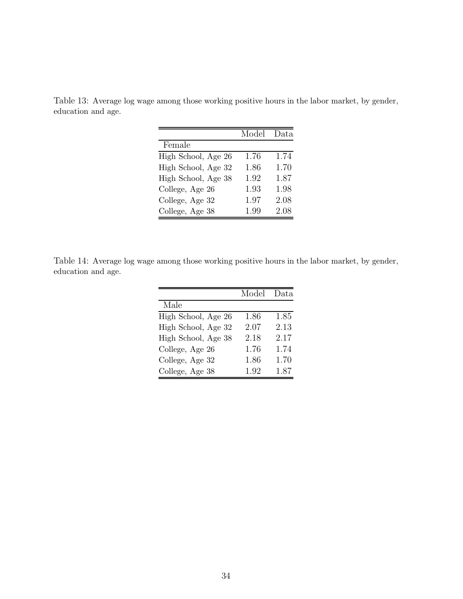Table 13: Average log wage among those working positive hours in the labor market, by gender, education and age.

|                     | Model | Data |
|---------------------|-------|------|
| Female              |       |      |
| High School, Age 26 | 1.76  | 1.74 |
| High School, Age 32 | 1.86  | 1.70 |
| High School, Age 38 | 1.92  | 1.87 |
| College, Age 26     | 1.93  | 1.98 |
| College, Age 32     | 1.97  | 2.08 |
| College, Age 38     | 1.99  | 2.08 |

Table 14: Average log wage among those working positive hours in the labor market, by gender, education and age.

|                     | Model | Data |
|---------------------|-------|------|
| Male                |       |      |
| High School, Age 26 | 1.86  | 1.85 |
| High School, Age 32 | 2.07  | 2.13 |
| High School, Age 38 | 2.18  | 2.17 |
| College, Age 26     | 1.76  | 1.74 |
| College, Age 32     | 1.86  | 1.70 |
| College, Age 38     | 1.92  | 1.87 |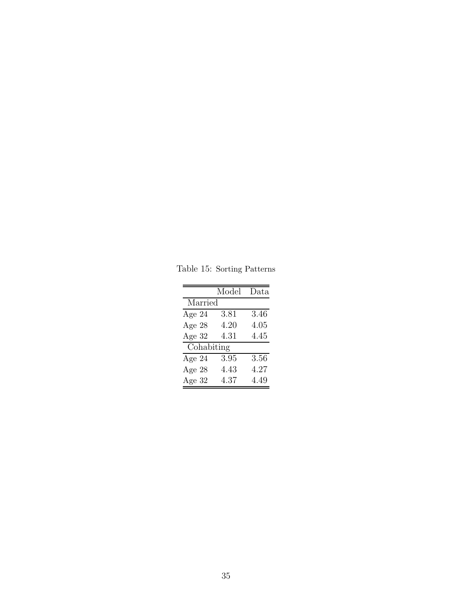Table 15: Sorting Patterns

|            | Model | Data |
|------------|-------|------|
| Married    |       |      |
| Age $24$   | 3.81  | 3.46 |
| Age 28     | 4.20  | 4.05 |
| Age 32     | 4.31  | 4.45 |
| Cohabiting |       |      |
| Age $24$   | 3.95  | 3.56 |
| Age 28     | 4.43  | 4.27 |
| Age $32$   | 4.37  | 4.49 |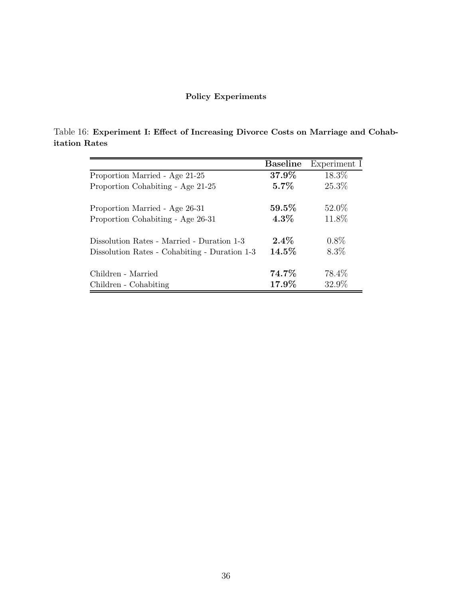### Policy Experiments

Table 16: Experiment I: Effect of Increasing Divorce Costs on Marriage and Cohabitation Rates

|                                               | <b>Baseline</b> | Experiment I |
|-----------------------------------------------|-----------------|--------------|
| Proportion Married - Age 21-25                | $37.9\%$        | 18.3%        |
| Proportion Cohabiting - Age 21-25             | $5.7\%$         | 25.3%        |
| Proportion Married - Age 26-31                | $59.5\%$        | 52.0%        |
| Proportion Cohabiting - Age 26-31             | $4.3\%$         | 11.8%        |
| Dissolution Rates - Married - Duration 1-3    | $2.4\%$         | $0.8\%$      |
| Dissolution Rates - Cohabiting - Duration 1-3 | 14.5%           | 8.3%         |
| Children - Married                            | 74.7%           | 78.4\%       |
| Children - Cohabiting                         | $17.9\%$        | 32.9%        |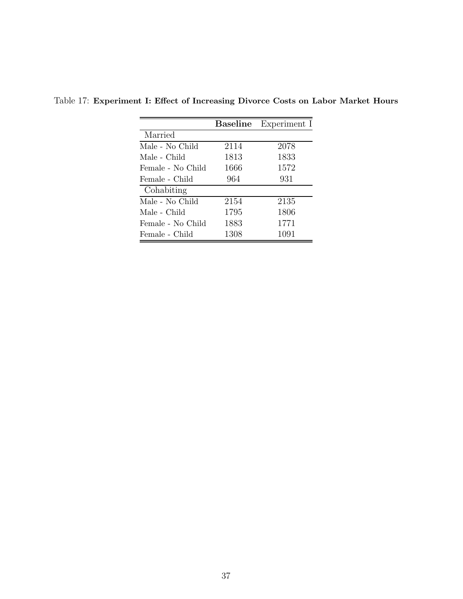|                   | <b>Baseline</b> | Experiment I |
|-------------------|-----------------|--------------|
| Married           |                 |              |
| Male - No Child   | 2114            | 2078         |
| Male - Child      | 1813            | 1833         |
| Female - No Child | 1666            | 1572         |
| Female - Child    | 964             | 931          |
| Cohabiting        |                 |              |
| Male - No Child   | 2154            | 2135         |
| Male - Child      | 1795            | 1806         |
| Female - No Child | 1883            | 1771         |
| Female - Child    | 1308            | 1091         |

Table 17: Experiment I: Effect of Increasing Divorce Costs on Labor Market Hours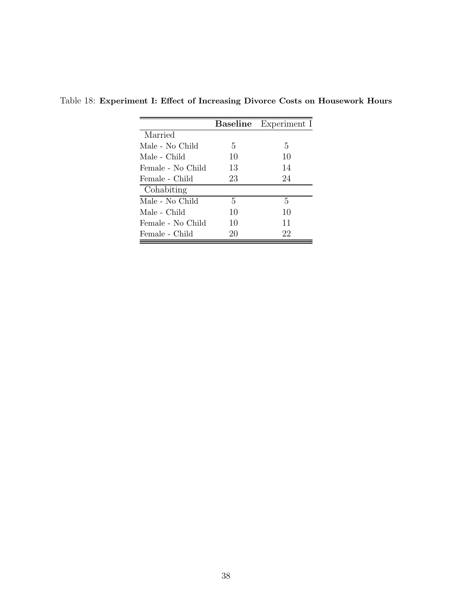|                   | Baseline | Experiment I |
|-------------------|----------|--------------|
| Married           |          |              |
| Male - No Child   | 5        | 5            |
| Male - Child      | 10       | 10           |
| Female - No Child | 13       | 14           |
| Female - Child    | 23       | 24           |
| Cohabiting        |          |              |
| Male - No Child   | 5        | 5            |
| Male - Child      | 10       | 10           |
| Female - No Child | 10       | 11           |
| Female - Child    | 20       | 22           |

Table 18: Experiment I: Effect of Increasing Divorce Costs on Housework Hours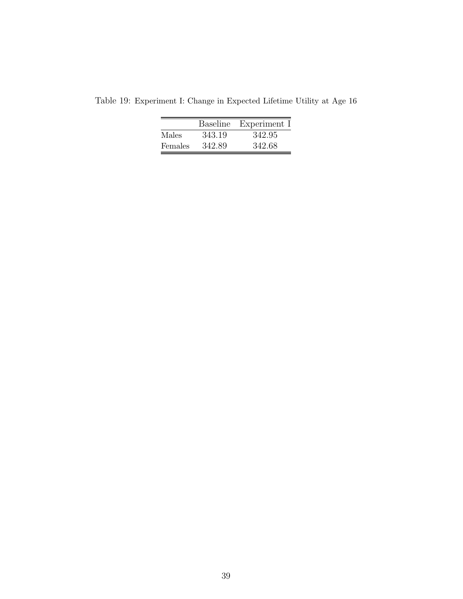|         | Baseline | Experiment I |
|---------|----------|--------------|
| Males   | 343.19   | 342.95       |
| Females | 342.89   | 342.68       |

Table 19: Experiment I: Change in Expected Lifetime Utility at Age 16